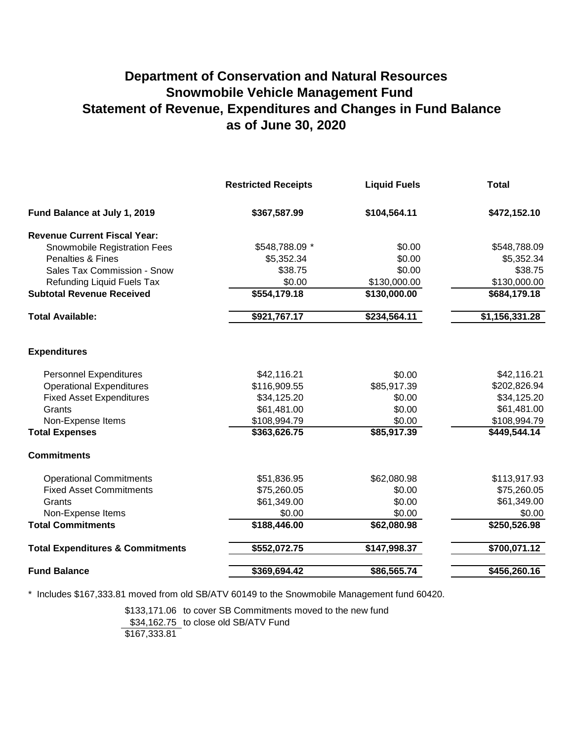## **Department of Conservation and Natural Resources Snowmobile Vehicle Management Fund Statement of Revenue, Expenditures and Changes in Fund Balance as of June 30, 2020**

|                                             | <b>Restricted Receipts</b> | <b>Liquid Fuels</b> | <b>Total</b>   |
|---------------------------------------------|----------------------------|---------------------|----------------|
| Fund Balance at July 1, 2019                | \$367,587.99               | \$104,564.11        | \$472,152.10   |
| <b>Revenue Current Fiscal Year:</b>         |                            |                     |                |
| Snowmobile Registration Fees                | \$548,788.09 *             | \$0.00              | \$548,788.09   |
| Penalties & Fines                           | \$5,352.34                 | \$0.00              | \$5,352.34     |
| Sales Tax Commission - Snow                 | \$38.75                    | \$0.00              | \$38.75        |
| Refunding Liquid Fuels Tax                  | \$0.00                     | \$130,000.00        | \$130,000.00   |
| <b>Subtotal Revenue Received</b>            | \$554,179.18               | \$130,000.00        | \$684,179.18   |
| <b>Total Available:</b>                     | \$921,767.17               | \$234,564.11        | \$1,156,331.28 |
| <b>Expenditures</b>                         |                            |                     |                |
| <b>Personnel Expenditures</b>               | \$42,116.21                | \$0.00              | \$42,116.21    |
| <b>Operational Expenditures</b>             | \$116,909.55               | \$85,917.39         | \$202,826.94   |
| <b>Fixed Asset Expenditures</b>             | \$34,125.20                | \$0.00              | \$34,125.20    |
| Grants                                      | \$61,481.00                | \$0.00              | \$61,481.00    |
| Non-Expense Items                           | \$108,994.79               | \$0.00              | \$108,994.79   |
| <b>Total Expenses</b>                       | \$363,626.75               | \$85,917.39         | \$449,544.14   |
| <b>Commitments</b>                          |                            |                     |                |
| <b>Operational Commitments</b>              | \$51,836.95                | \$62,080.98         | \$113,917.93   |
| <b>Fixed Asset Commitments</b>              | \$75,260.05                | \$0.00              | \$75,260.05    |
| Grants                                      | \$61,349.00                | \$0.00              | \$61,349.00    |
| Non-Expense Items                           | \$0.00                     | \$0.00              | \$0.00         |
| <b>Total Commitments</b>                    | \$188,446.00               | \$62,080.98         | \$250,526.98   |
| <b>Total Expenditures &amp; Commitments</b> | \$552,072.75               | \$147,998.37        | \$700,071.12   |
| <b>Fund Balance</b>                         | \$369,694.42               | \$86,565.74         | \$456,260.16   |

\* Includes \$167,333.81 moved from old SB/ATV 60149 to the Snowmobile Management fund 60420.

\$133,171.06 to cover SB Commitments moved to the new fund \$34,162.75 to close old SB/ATV Fund \$167,333.81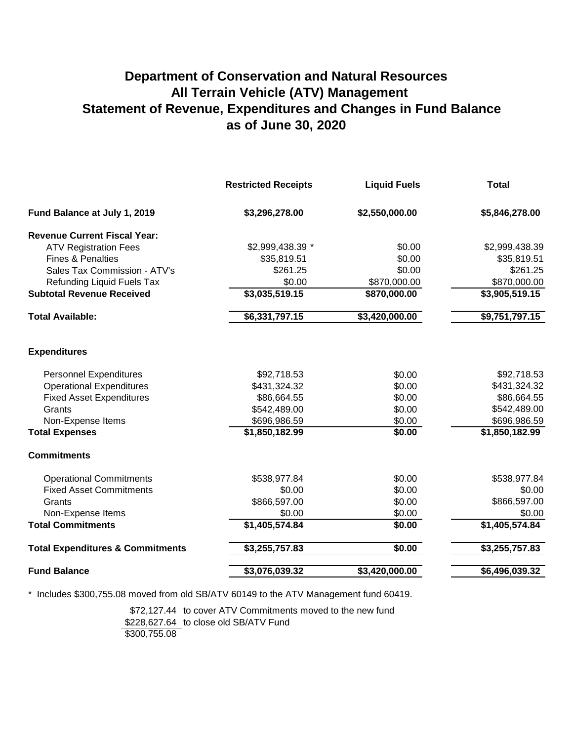## **Department of Conservation and Natural Resources All Terrain Vehicle (ATV) Management Statement of Revenue, Expenditures and Changes in Fund Balance as of June 30, 2020**

|                                             | <b>Restricted Receipts</b> | <b>Liquid Fuels</b> | <b>Total</b>   |
|---------------------------------------------|----------------------------|---------------------|----------------|
| Fund Balance at July 1, 2019                | \$3,296,278.00             | \$2,550,000.00      | \$5,846,278.00 |
| <b>Revenue Current Fiscal Year:</b>         |                            |                     |                |
| <b>ATV Registration Fees</b>                | \$2,999,438.39 *           | \$0.00              | \$2,999,438.39 |
| <b>Fines &amp; Penalties</b>                | \$35,819.51                | \$0.00              | \$35,819.51    |
| Sales Tax Commission - ATV's                | \$261.25                   | \$0.00              | \$261.25       |
| Refunding Liquid Fuels Tax                  | \$0.00                     | \$870,000.00        | \$870,000.00   |
| <b>Subtotal Revenue Received</b>            | \$3,035,519.15             | \$870,000.00        | \$3,905,519.15 |
| <b>Total Available:</b>                     | \$6,331,797.15             | \$3,420,000.00      | \$9,751,797.15 |
| <b>Expenditures</b>                         |                            |                     |                |
| <b>Personnel Expenditures</b>               | \$92,718.53                | \$0.00              | \$92,718.53    |
| <b>Operational Expenditures</b>             | \$431,324.32               | \$0.00              | \$431,324.32   |
| <b>Fixed Asset Expenditures</b>             | \$86,664.55                | \$0.00              | \$86,664.55    |
| Grants                                      | \$542,489.00               | \$0.00              | \$542,489.00   |
| Non-Expense Items                           | \$696,986.59               | \$0.00              | \$696,986.59   |
| <b>Total Expenses</b>                       | \$1,850,182.99             | \$0.00              | \$1,850,182.99 |
| <b>Commitments</b>                          |                            |                     |                |
| <b>Operational Commitments</b>              | \$538,977.84               | \$0.00              | \$538,977.84   |
| <b>Fixed Asset Commitments</b>              | \$0.00                     | \$0.00              | \$0.00         |
| Grants                                      | \$866,597.00               | \$0.00              | \$866,597.00   |
| Non-Expense Items                           | \$0.00                     | \$0.00              | \$0.00         |
| <b>Total Commitments</b>                    | \$1,405,574.84             | \$0.00              | \$1,405,574.84 |
| <b>Total Expenditures &amp; Commitments</b> | \$3,255,757.83             | \$0.00              | \$3,255,757.83 |
| <b>Fund Balance</b>                         | \$3,076,039.32             | \$3,420,000.00      | \$6,496,039.32 |

\* Includes \$300,755.08 moved from old SB/ATV 60149 to the ATV Management fund 60419.

\$72,127.44 to cover ATV Commitments moved to the new fund \$228,627.64 to close old SB/ATV Fund \$300,755.08